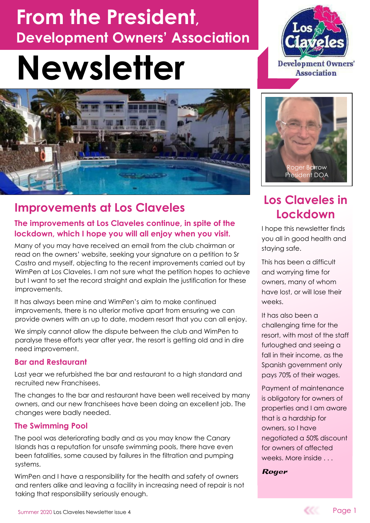# **From the President, Development Owners' Association**

# **Newsletter**



## **Improvements at Los Claveles**

#### **The improvements at Los Claveles continue, in spite of the lockdown, which I hope you will all enjoy when you visit.**

Many of you may have received an email from the club chairman or read on the owners' website, seeking your signature on a petition to Sr Castro and myself, objecting to the recent improvements carried out by WimPen at Los Claveles. I am not sure what the petition hopes to achieve but I want to set the record straight and explain the justification for these improvements.

It has always been mine and WimPen's aim to make continued improvements, there is no ulterior motive apart from ensuring we can provide owners with an up to date, modern resort that you can all enjoy.

We simply cannot allow the dispute between the club and WimPen to paralyse these efforts year after year, the resort is getting old and in dire need improvement.

#### **Bar and Restaurant**

Last year we refurbished the bar and restaurant to a high standard and recruited new Franchisees.

The changes to the bar and restaurant have been well received by many owners, and our new franchisees have been doing an excellent job. The changes were badly needed.

#### **The Swimming Pool**

The pool was deteriorating badly and as you may know the Canary Islands has a reputation for unsafe swimming pools, there have even been fatalities, some caused by failures in the filtration and pumping systems.

WimPen and I have a responsibility for the health and safety of owners and renters alike and leaving a facility in increasing need of repair is not taking that responsibility seriously enough.





## **Los Claveles in Lockdown**

I hope this newsletter finds you all in good health and staying safe.

This has been a difficult and worrying time for owners, many of whom have lost, or will lose their weeks.

It has also been a challenging time for the resort, with most of the staff furloughed and seeing a fall in their income, as the Spanish government only pays 70% of their wages.

Payment of maintenance is obligatory for owners of properties and I am aware that is a hardship for owners, so I have negotiated a 50% discount for owners of affected weeks. More inside . . .

**Roger** 

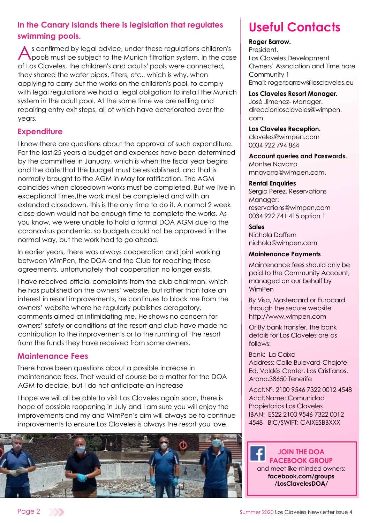#### **In the Canary Islands there is legislation that regulates swimming pools.**

A s confirmed by legal advice, under these regulations children<br>pools must be subject to the Munich filtration system. In the c<br>of Los Claveles, the children's and adults' pools were connected, s confirmed by legal advice, under these regulations children's pools must be subject to the Munich filtration system. In the case they shared the water pipes, filters, etc., which is why, when applying to carry out the works on the children's pool, to comply with legal regulations we had a legal obligation to install the Munich system in the adult pool. At the same time we are retiling and repairing entry exit steps, all of which have deteriorated over the years.

#### **Expenditure**

I know there are questions about the approval of such expenditure. For the last 25 years a budget and expenses have been determined by the committee in January, which is when the fiscal year begins and the date that the budget must be established, and that is normally brought to the AGM in May for ratification. The AGM coincides when closedown works must be completed. But we live in exceptional times,the work must be completed and with an extended closedown, this is the only time to do it. A normal 2 week close down would not be enough time to complete the works. As you know, we were unable to hold a formal DOA AGM due to the coronavirus pandemic, so budgets could not be approved in the normal way, but the work had to go ahead.

In earlier years, there was always cooperation and joint working between WimPen, the DOA and the Club for reaching these agreements, unfortunately that cooperation no longer exists.

I have received official complaints from the club chairman, which he has published on the owners' website, but rather than take an interest in resort improvements, he continues to block me from the owners' website where he regularly publishes derogatory, comments aimed at intimidating me. He shows no concern for owners' safety or conditions at the resort and club have made no contribution to the improvements or to the running of the resort from the funds they have received from some owners.

#### **Maintenance Fees**

There have been questions about a possible increase in maintenance fees. That would of course be a matter for the DOA AGM to decide, but I do not anticipate an increase

I hope we will all be able to visit Los Claveles again soon, there is hope of possible reopening in July and I am sure you will enjoy the improvements and my and WimPen's aim will always be to continue improvements to ensure Los Claveles is always the resort you love.



## **Useful Contacts**

#### **Roger Barrow.**

President, Los Claveles Development Owners' Association and Time hare Community 1 Email: rogerbarrow@losclaveles.eu

#### **Los Claveles Resort Manager.**

José Jimenez- Manager. direccionlosclaveles@wimpen. com

#### **Los Claveles Reception.**

claveles@wimpen.com 0034 922 794 864

#### **Account queries and Passwords.**

Montse Navarro mnavarro@wimpen.com.

#### **Rental Enquiries**

Sergio Perez, Reservations Manager. reservations@wimpen.com 0034 922 741 415 option 1

#### **Sales**

Nichola Daffern nichola@wimpen.com

#### **Maintenance Payments**

Maintenance fees should only be paid to the Community Account, managed on our behalf by WimPen

By Visa, Mastercard or Eurocard through the secure website http://www.wimpen.com

Or By bank transfer, the bank details for Los Claveles are as follows:

Bank: La Caixa Address: Calle Bulevard-Chajofe, Ed. Valdés Center. Los Cristianos. Arona.38650 Tenerife

Acct.Nº. 2100 9546 7322 0012 4548 Acct.Name: Comunidad Propietarios Los Claveles IBAN: ES22 2100 9546 7322 0012 4548 BIC/SWIFT: CAIXESBBXXX

#### **JOIN THE DOA FACEBOOK GROUP** and meet like-minded owners: **facebook.com/groups /LosClavelesDOA/**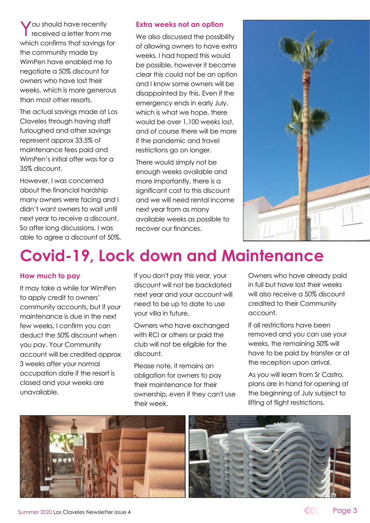You should have recently<br>received a letter from m received a letter from me which confirms that savings for the community made by WimPen have enabled me to negotiate a 50% discount for owners who have lost their weeks, which is more generous than most other resorts.

The actual savings made at Los Claveles through having staff furloughed and other savings represent approx 33.5% of maintenance fees paid and WimPen's initial offer was for a 35% discount.

However, I was concerned about the financial hardship many owners were facing and I didn't want owners to wait until next year to receive a discount. So after long discussions, I was able to agree a discount of 50%.

#### **Extra weeks not an option**

We also discussed the possibility of allowing owners to have extra weeks. I had hoped this would be possible, however it became clear this could not be an option and I know some owners will be disappointed by this. Even if the emergency ends in early July, which is what we hope, there would be over 1,100 weeks lost, and of course there will be more if the pandemic and travel restrictions go on longer.

There would simply not be enough weeks available and more importantly, there is a significant cost to this discount and we will need rental income next year from as many available weeks as possible to recover our finances.



## **Covid-19, Lock down and Maintenance**

#### **How much to pay**

It may take a while for WimPen to apply credit to owners' community accounts, but if your maintenance is due in the next few weeks, I confirm you can deduct the 50% discount when you pay. Your Community account will be credited approx 3 weeks after your normal occupation date if the resort is closed and your weeks are unavailable.

If you don't pay this year, your discount will not be backdated next year and your account will need to be up to date to use your villa in future.

Owners who have exchanged with RCI or others or paid the club will not be eligible for the discount.

Please note, it remains an obligation for owners to pay their maintenance for their ownership, even if they can't use their week.

Owners who have already paid in full but have lost their weeks will also receive a 50% discount credited to their Community account.

If all restrictions have been removed and you can use your weeks, the remaining 50% will have to be paid by transfer or at the reception upon arrival.

As you will learn from Sr Castro, plans are in hand for opening at the beginning of July subject to lifting of flight restrictions.